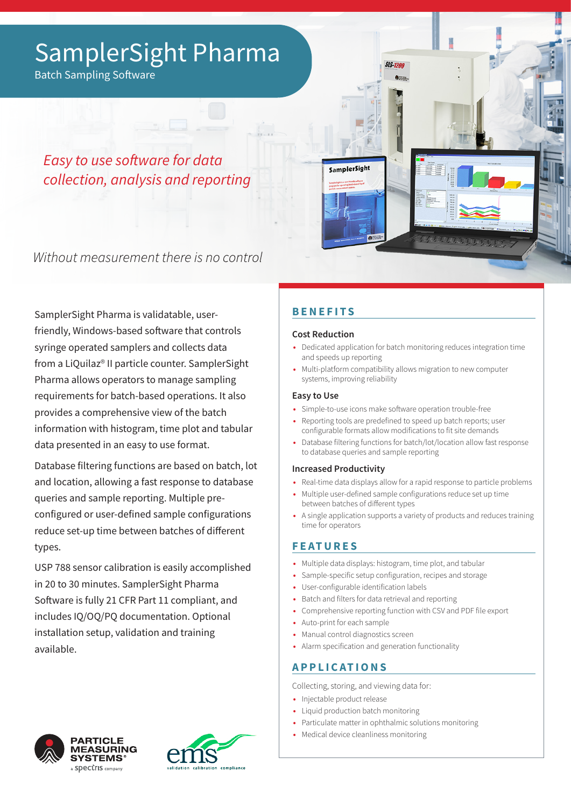# SamplerSight Pharma

Batch Sampling Software

*Easy to use software for data collection, analysis and reporting*

Without measurement there is no control

SamplerSight Pharma is validatable, userfriendly, Windows-based software that controls syringe operated samplers and collects data from a LiQuilaz® II particle counter. SamplerSight Pharma allows operators to manage sampling requirements for batch-based operations. It also provides a comprehensive view of the batch information with histogram, time plot and tabular data presented in an easy to use format.

Database filtering functions are based on batch, lot and location, allowing a fast response to database queries and sample reporting. Multiple preconfigured or user-defined sample configurations reduce set-up time between batches of different types.

USP 788 sensor calibration is easily accomplished in 20 to 30 minutes. SamplerSight Pharma Software is fully 21 CFR Part 11 compliant, and includes IQ/OQ/PQ documentation. Optional installation setup, validation and training available.

# **BENEFITS**

SamplerSight

### **Cost Reduction**

**•** Dedicated application for batch monitoring reduces integration time and speeds up reporting

Significant and

**•** Multi-platform compatibility allows migration to new computer systems, improving reliability

**SIS 1200** 

### **Easy to Use**

- **•** Simple-to-use icons make software operation trouble-free
- **•** Reporting tools are predefined to speed up batch reports; user configurable formats allow modifications to fit site demands
- **•** Database filtering functions for batch/lot/location allow fast response to database queries and sample reporting

### **Increased Productivity**

- **•** Real-time data displays allow for a rapid response to particle problems
- **•** Multiple user-defined sample configurations reduce set up time between batches of different types
- **•** A single application supports a variety of products and reduces training time for operators

### **FEATURES**

- **•** Multiple data displays: histogram, time plot, and tabular
- **•** Sample-specific setup configuration, recipes and storage
- **•** User-configurable identification labels
- **•** Batch and filters for data retrieval and reporting
- **•** Comprehensive reporting function with CSV and PDF file export
- **•** Auto-print for each sample
- **•** Manual control diagnostics screen
- **•** Alarm specification and generation functionality

## **APPLICATIONS**

Collecting, storing, and viewing data for:

- **•** Injectable product release
- **•** Liquid production batch monitoring
- **•** Particulate matter in ophthalmic solutions monitoring
- **•** Medical device cleanliness monitoring